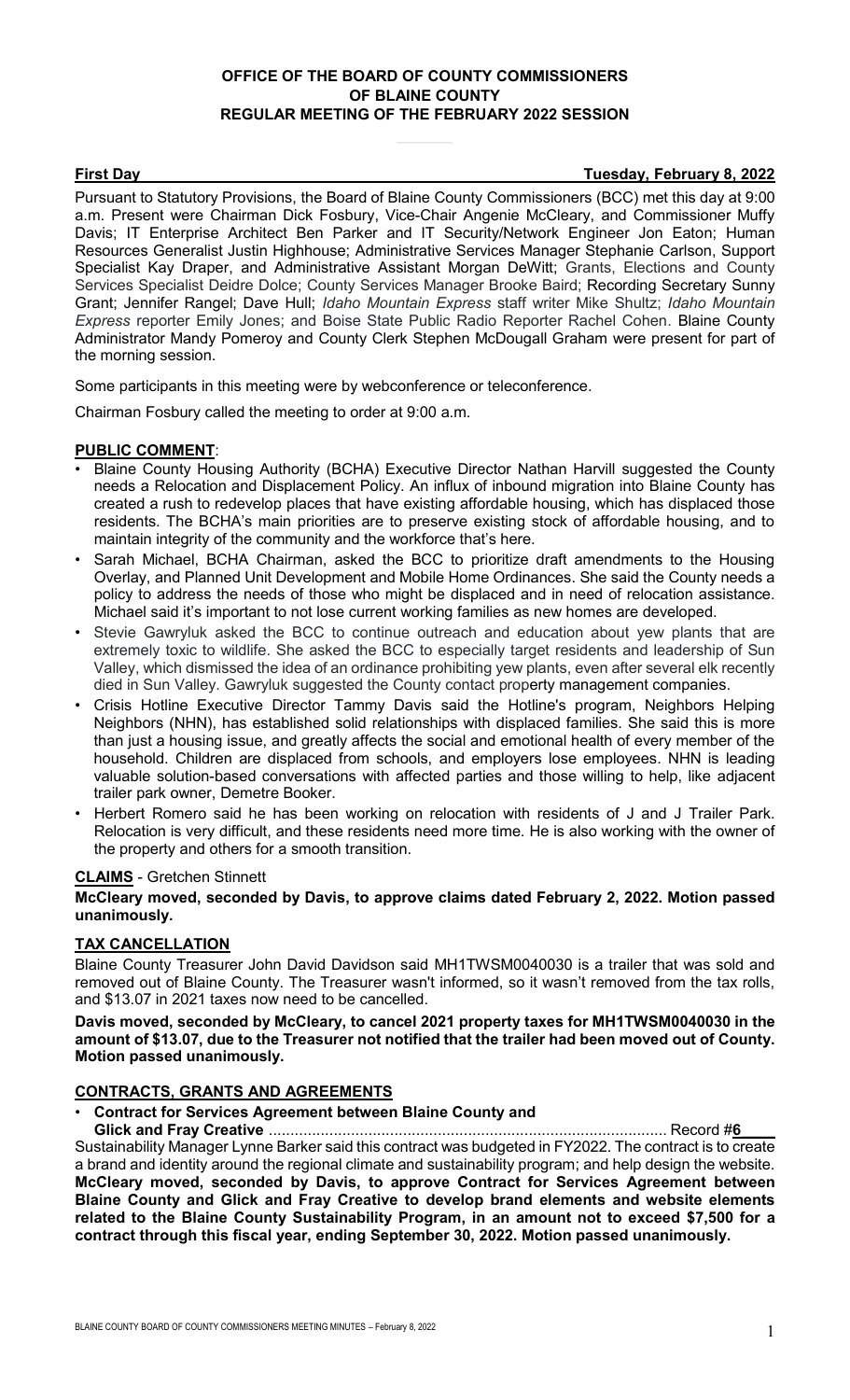# **OFFICE OF THE BOARD OF COUNTY COMMISSIONERS OF BLAINE COUNTY REGULAR MEETING OF THE FEBRUARY 2022 SESSION**

**First Day Tuesday, February 8, 2022**

Pursuant to Statutory Provisions, the Board of Blaine County Commissioners (BCC) met this day at 9:00 a.m. Present were Chairman Dick Fosbury, Vice-Chair Angenie McCleary, and Commissioner Muffy Davis; IT Enterprise Architect Ben Parker and IT Security/Network Engineer Jon Eaton; Human Resources Generalist Justin Highhouse; Administrative Services Manager Stephanie Carlson, Support Specialist Kay Draper, and Administrative Assistant Morgan DeWitt; Grants, Elections and County Services Specialist Deidre Dolce; County Services Manager Brooke Baird; Recording Secretary Sunny Grant; Jennifer Rangel; Dave Hull; *Idaho Mountain Express* staff writer Mike Shultz; *Idaho Mountain Express* reporter Emily Jones; and Boise State Public Radio Reporter Rachel Cohen. Blaine County Administrator Mandy Pomeroy and County Clerk Stephen McDougall Graham were present for part of the morning session.

Some participants in this meeting were by webconference or teleconference.

Chairman Fosbury called the meeting to order at 9:00 a.m.

# **PUBLIC COMMENT**:

- Blaine County Housing Authority (BCHA) Executive Director Nathan Harvill suggested the County needs a Relocation and Displacement Policy. An influx of inbound migration into Blaine County has created a rush to redevelop places that have existing affordable housing, which has displaced those residents. The BCHA's main priorities are to preserve existing stock of affordable housing, and to maintain integrity of the community and the workforce that's here.
- Sarah Michael, BCHA Chairman, asked the BCC to prioritize draft amendments to the Housing Overlay, and Planned Unit Development and Mobile Home Ordinances. She said the County needs a policy to address the needs of those who might be displaced and in need of relocation assistance. Michael said it's important to not lose current working families as new homes are developed.
- Stevie Gawryluk asked the BCC to continue outreach and education about yew plants that are extremely toxic to wildlife. She asked the BCC to especially target residents and leadership of Sun Valley, which dismissed the idea of an ordinance prohibiting yew plants, even after several elk recently died in Sun Valley. Gawryluk suggested the County contact property management companies.
- Crisis Hotline Executive Director Tammy Davis said the Hotline's program, Neighbors Helping Neighbors (NHN), has established solid relationships with displaced families. She said this is more than just a housing issue, and greatly affects the social and emotional health of every member of the household. Children are displaced from schools, and employers lose employees. NHN is leading valuable solution-based conversations with affected parties and those willing to help, like adjacent trailer park owner, Demetre Booker.
- Herbert Romero said he has been working on relocation with residents of J and J Trailer Park. Relocation is very difficult, and these residents need more time. He is also working with the owner of the property and others for a smooth transition.

## **CLAIMS** - Gretchen Stinnett

## **McCleary moved, seconded by Davis, to approve claims dated February 2, 2022. Motion passed unanimously.**

## **TAX CANCELLATION**

Blaine County Treasurer John David Davidson said MH1TWSM0040030 is a trailer that was sold and removed out of Blaine County. The Treasurer wasn't informed, so it wasn't removed from the tax rolls, and \$13.07 in 2021 taxes now need to be cancelled.

**Davis moved, seconded by McCleary, to cancel 2021 property taxes for MH1TWSM0040030 in the amount of \$13.07, due to the Treasurer not notified that the trailer had been moved out of County. Motion passed unanimously.**

## **CONTRACTS, GRANTS AND AGREEMENTS**

# • **Contract for Services Agreement between Blaine County and**

**Glick and Fray Creative** ............................................................................................ Record #**6\_\_\_\_** Sustainability Manager Lynne Barker said this contract was budgeted in FY2022. The contract is to create a brand and identity around the regional climate and sustainability program; and help design the website. **McCleary moved, seconded by Davis, to approve Contract for Services Agreement between Blaine County and Glick and Fray Creative to develop brand elements and website elements related to the Blaine County Sustainability Program, in an amount not to exceed \$7,500 for a contract through this fiscal year, ending September 30, 2022. Motion passed unanimously.**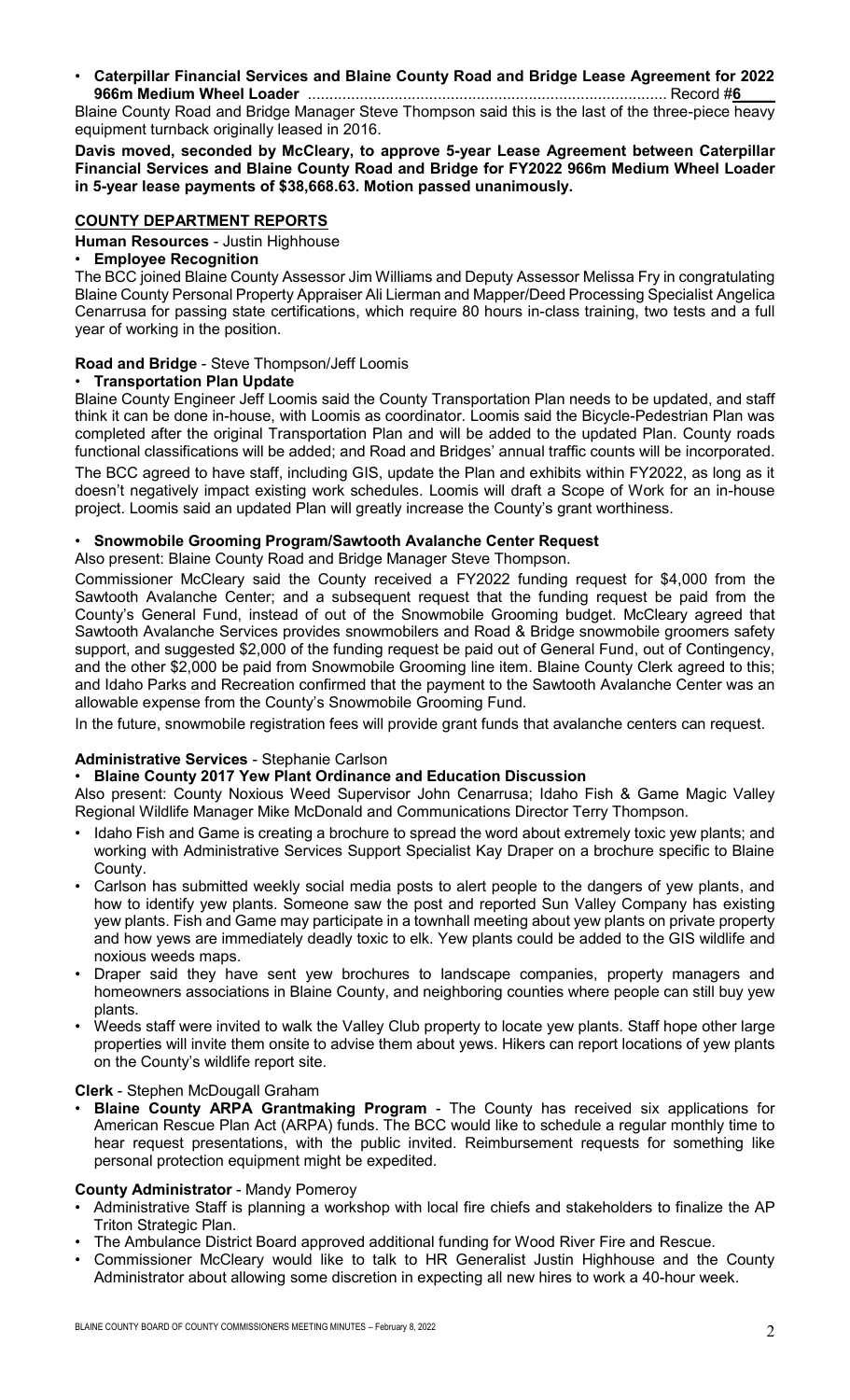## • **Caterpillar Financial Services and Blaine County Road and Bridge Lease Agreement for 2022 966m Medium Wheel Loader** ................................................................................... Record #**6\_\_\_\_**

Blaine County Road and Bridge Manager Steve Thompson said this is the last of the three-piece heavy equipment turnback originally leased in 2016.

**Davis moved, seconded by McCleary, to approve 5-year Lease Agreement between Caterpillar Financial Services and Blaine County Road and Bridge for FY2022 966m Medium Wheel Loader in 5-year lease payments of \$38,668.63. Motion passed unanimously.**

# **COUNTY DEPARTMENT REPORTS**

**Human Resources** - Justin Highhouse

# • **Employee Recognition**

The BCC joined Blaine County Assessor Jim Williams and Deputy Assessor Melissa Fry in congratulating Blaine County Personal Property Appraiser Ali Lierman and Mapper/Deed Processing Specialist Angelica Cenarrusa for passing state certifications, which require 80 hours in-class training, two tests and a full year of working in the position.

# **Road and Bridge** - Steve Thompson/Jeff Loomis

## • **Transportation Plan Update**

Blaine County Engineer Jeff Loomis said the County Transportation Plan needs to be updated, and staff think it can be done in-house, with Loomis as coordinator. Loomis said the Bicycle-Pedestrian Plan was completed after the original Transportation Plan and will be added to the updated Plan. County roads functional classifications will be added; and Road and Bridges' annual traffic counts will be incorporated. The BCC agreed to have staff, including GIS, update the Plan and exhibits within FY2022, as long as it doesn't negatively impact existing work schedules. Loomis will draft a Scope of Work for an in-house project. Loomis said an updated Plan will greatly increase the County's grant worthiness.

## • **Snowmobile Grooming Program/Sawtooth Avalanche Center Request**

Also present: Blaine County Road and Bridge Manager Steve Thompson.

Commissioner McCleary said the County received a FY2022 funding request for \$4,000 from the Sawtooth Avalanche Center; and a subsequent request that the funding request be paid from the County's General Fund, instead of out of the Snowmobile Grooming budget. McCleary agreed that Sawtooth Avalanche Services provides snowmobilers and Road & Bridge snowmobile groomers safety support, and suggested \$2,000 of the funding request be paid out of General Fund, out of Contingency, and the other \$2,000 be paid from Snowmobile Grooming line item. Blaine County Clerk agreed to this; and Idaho Parks and Recreation confirmed that the payment to the Sawtooth Avalanche Center was an allowable expense from the County's Snowmobile Grooming Fund.

In the future, snowmobile registration fees will provide grant funds that avalanche centers can request.

# **Administrative Services** - Stephanie Carlson

# • **Blaine County 2017 Yew Plant Ordinance and Education Discussion**

Also present: County Noxious Weed Supervisor John Cenarrusa; Idaho Fish & Game Magic Valley Regional Wildlife Manager Mike McDonald and Communications Director Terry Thompson.

- Idaho Fish and Game is creating a brochure to spread the word about extremely toxic yew plants; and working with Administrative Services Support Specialist Kay Draper on a brochure specific to Blaine County.
- Carlson has submitted weekly social media posts to alert people to the dangers of yew plants, and how to identify yew plants. Someone saw the post and reported Sun Valley Company has existing yew plants. Fish and Game may participate in a townhall meeting about yew plants on private property and how yews are immediately deadly toxic to elk. Yew plants could be added to the GIS wildlife and noxious weeds maps.
- Draper said they have sent yew brochures to landscape companies, property managers and homeowners associations in Blaine County, and neighboring counties where people can still buy yew plants.
- Weeds staff were invited to walk the Valley Club property to locate yew plants. Staff hope other large properties will invite them onsite to advise them about yews. Hikers can report locations of yew plants on the County's wildlife report site.

# **Clerk** - Stephen McDougall Graham

• **Blaine County ARPA Grantmaking Program** - The County has received six applications for American Rescue Plan Act (ARPA) funds. The BCC would like to schedule a regular monthly time to hear request presentations, with the public invited. Reimbursement requests for something like personal protection equipment might be expedited.

## **County Administrator** - Mandy Pomeroy

- Administrative Staff is planning a workshop with local fire chiefs and stakeholders to finalize the AP Triton Strategic Plan.
- The Ambulance District Board approved additional funding for Wood River Fire and Rescue.
- Commissioner McCleary would like to talk to HR Generalist Justin Highhouse and the County Administrator about allowing some discretion in expecting all new hires to work a 40-hour week.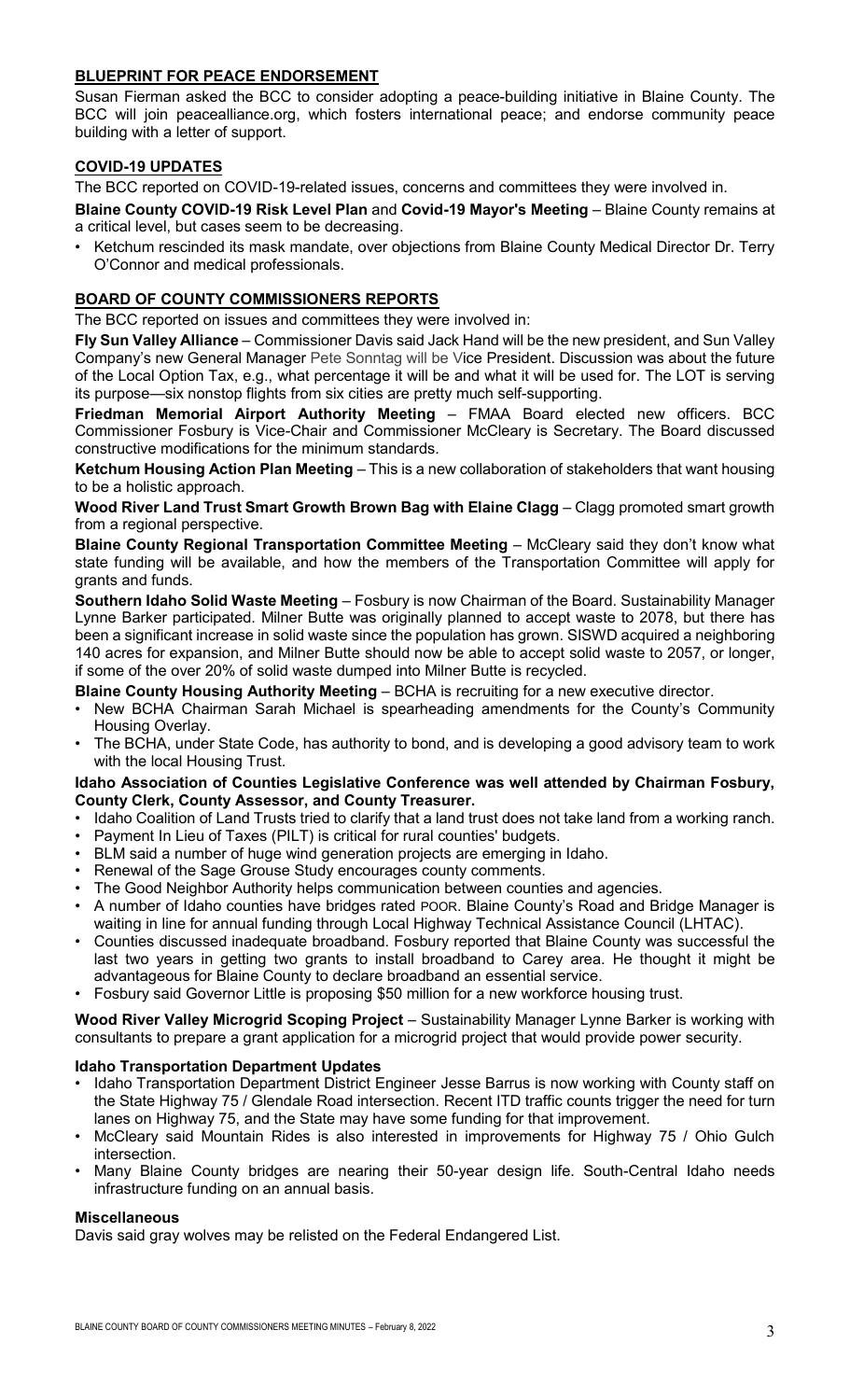# **BLUEPRINT FOR PEACE ENDORSEMENT**

Susan Fierman asked the BCC to consider adopting a peace-building initiative in Blaine County. The BCC will join peacealliance.org, which fosters international peace; and endorse community peace building with a letter of support.

# **COVID-19 UPDATES**

The BCC reported on COVID-19-related issues, concerns and committees they were involved in.

**Blaine County COVID-19 Risk Level Plan** and **Covid-19 Mayor's Meeting** – Blaine County remains at a critical level, but cases seem to be decreasing.

• Ketchum rescinded its mask mandate, over objections from Blaine County Medical Director Dr. Terry O'Connor and medical professionals.

# **BOARD OF COUNTY COMMISSIONERS REPORTS**

The BCC reported on issues and committees they were involved in:

**Fly Sun Valley Alliance** – Commissioner Davis said Jack Hand will be the new president, and Sun Valley Company's new General Manager Pete Sonntag will be Vice President. Discussion was about the future of the Local Option Tax, e.g., what percentage it will be and what it will be used for. The LOT is serving its purpose—six nonstop flights from six cities are pretty much self-supporting.

**Friedman Memorial Airport Authority Meeting** – FMAA Board elected new officers. BCC Commissioner Fosbury is Vice-Chair and Commissioner McCleary is Secretary. The Board discussed constructive modifications for the minimum standards.

**Ketchum Housing Action Plan Meeting** – This is a new collaboration of stakeholders that want housing to be a holistic approach.

**Wood River Land Trust Smart Growth Brown Bag with Elaine Clagg** – Clagg promoted smart growth from a regional perspective.

**Blaine County Regional Transportation Committee Meeting** – McCleary said they don't know what state funding will be available, and how the members of the Transportation Committee will apply for grants and funds.

**Southern Idaho Solid Waste Meeting** – Fosbury is now Chairman of the Board. Sustainability Manager Lynne Barker participated. Milner Butte was originally planned to accept waste to 2078, but there has been a significant increase in solid waste since the population has grown. SISWD acquired a neighboring 140 acres for expansion, and Milner Butte should now be able to accept solid waste to 2057, or longer, if some of the over 20% of solid waste dumped into Milner Butte is recycled.

**Blaine County Housing Authority Meeting** – BCHA is recruiting for a new executive director.

- New BCHA Chairman Sarah Michael is spearheading amendments for the County's Community Housing Overlay.
- The BCHA, under State Code, has authority to bond, and is developing a good advisory team to work with the local Housing Trust.

## **Idaho Association of Counties Legislative Conference was well attended by Chairman Fosbury, County Clerk, County Assessor, and County Treasurer.**

- Idaho Coalition of Land Trusts tried to clarify that a land trust does not take land from a working ranch. • Payment In Lieu of Taxes (PILT) is critical for rural counties' budgets.
- BLM said a number of huge wind generation projects are emerging in Idaho.
- Renewal of the Sage Grouse Study encourages county comments.
- The Good Neighbor Authority helps communication between counties and agencies.
- A number of Idaho counties have bridges rated POOR. Blaine County's Road and Bridge Manager is waiting in line for annual funding through Local Highway Technical Assistance Council (LHTAC).
- Counties discussed inadequate broadband. Fosbury reported that Blaine County was successful the last two years in getting two grants to install broadband to Carey area. He thought it might be advantageous for Blaine County to declare broadband an essential service.
- Fosbury said Governor Little is proposing \$50 million for a new workforce housing trust.

**Wood River Valley Microgrid Scoping Project** – Sustainability Manager Lynne Barker is working with consultants to prepare a grant application for a microgrid project that would provide power security.

# **Idaho Transportation Department Updates**

- Idaho Transportation Department District Engineer Jesse Barrus is now working with County staff on the State Highway 75 / Glendale Road intersection. Recent ITD traffic counts trigger the need for turn lanes on Highway 75, and the State may have some funding for that improvement.
- McCleary said Mountain Rides is also interested in improvements for Highway 75 / Ohio Gulch intersection.
- Many Blaine County bridges are nearing their 50-year design life. South-Central Idaho needs infrastructure funding on an annual basis.

# **Miscellaneous**

Davis said gray wolves may be relisted on the Federal Endangered List.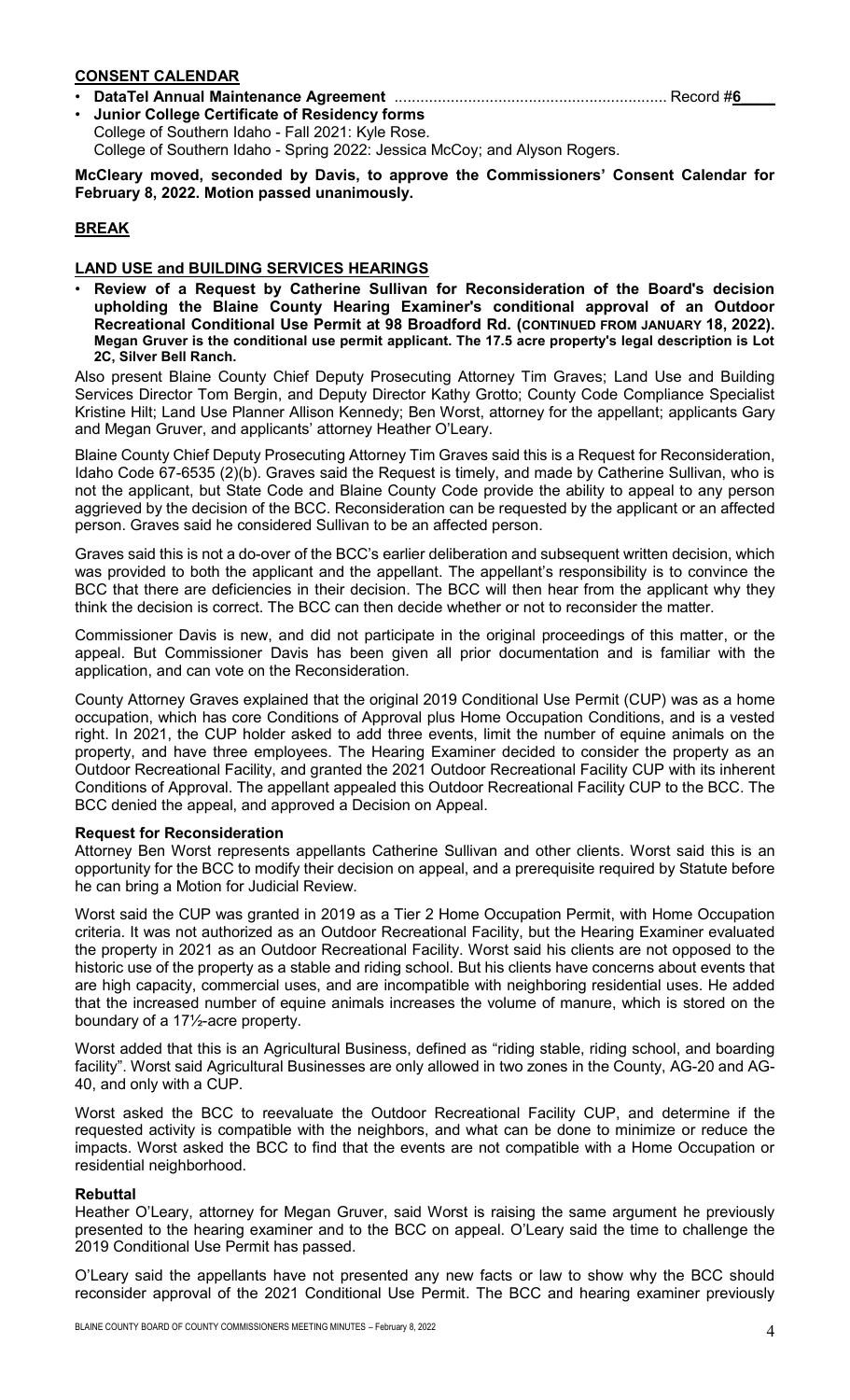## **CONSENT CALENDAR**

- **DataTel Annual Maintenance Agreement** ............................................................... Record #**6\_\_\_\_**
- **Junior College Certificate of Residency forms** College of Southern Idaho - Fall 2021: Kyle Rose. College of Southern Idaho - Spring 2022: Jessica McCoy; and Alyson Rogers.

**McCleary moved, seconded by Davis, to approve the Commissioners' Consent Calendar for February 8, 2022. Motion passed unanimously.**

# **BREAK**

# **LAND USE and BUILDING SERVICES HEARINGS**

• **Review of a Request by Catherine Sullivan for Reconsideration of the Board's decision upholding the Blaine County Hearing Examiner's conditional approval of an Outdoor Recreational Conditional Use Permit at 98 Broadford Rd. (CONTINUED FROM JANUARY 18, 2022). Megan Gruver is the conditional use permit applicant. The 17.5 acre property's legal description is Lot 2C, Silver Bell Ranch.**

Also present Blaine County Chief Deputy Prosecuting Attorney Tim Graves; Land Use and Building Services Director Tom Bergin, and Deputy Director Kathy Grotto; County Code Compliance Specialist Kristine Hilt; Land Use Planner Allison Kennedy; Ben Worst, attorney for the appellant; applicants Gary and Megan Gruver, and applicants' attorney Heather O'Leary.

Blaine County Chief Deputy Prosecuting Attorney Tim Graves said this is a Request for Reconsideration, Idaho Code 67-6535 (2)(b). Graves said the Request is timely, and made by Catherine Sullivan, who is not the applicant, but State Code and Blaine County Code provide the ability to appeal to any person aggrieved by the decision of the BCC. Reconsideration can be requested by the applicant or an affected person. Graves said he considered Sullivan to be an affected person.

Graves said this is not a do-over of the BCC's earlier deliberation and subsequent written decision, which was provided to both the applicant and the appellant. The appellant's responsibility is to convince the BCC that there are deficiencies in their decision. The BCC will then hear from the applicant why they think the decision is correct. The BCC can then decide whether or not to reconsider the matter.

Commissioner Davis is new, and did not participate in the original proceedings of this matter, or the appeal. But Commissioner Davis has been given all prior documentation and is familiar with the application, and can vote on the Reconsideration.

County Attorney Graves explained that the original 2019 Conditional Use Permit (CUP) was as a home occupation, which has core Conditions of Approval plus Home Occupation Conditions, and is a vested right. In 2021, the CUP holder asked to add three events, limit the number of equine animals on the property, and have three employees. The Hearing Examiner decided to consider the property as an Outdoor Recreational Facility, and granted the 2021 Outdoor Recreational Facility CUP with its inherent Conditions of Approval. The appellant appealed this Outdoor Recreational Facility CUP to the BCC. The BCC denied the appeal, and approved a Decision on Appeal.

## **Request for Reconsideration**

Attorney Ben Worst represents appellants Catherine Sullivan and other clients. Worst said this is an opportunity for the BCC to modify their decision on appeal, and a prerequisite required by Statute before he can bring a Motion for Judicial Review.

Worst said the CUP was granted in 2019 as a Tier 2 Home Occupation Permit, with Home Occupation criteria. It was not authorized as an Outdoor Recreational Facility, but the Hearing Examiner evaluated the property in 2021 as an Outdoor Recreational Facility. Worst said his clients are not opposed to the historic use of the property as a stable and riding school. But his clients have concerns about events that are high capacity, commercial uses, and are incompatible with neighboring residential uses. He added that the increased number of equine animals increases the volume of manure, which is stored on the boundary of a 17½-acre property.

Worst added that this is an Agricultural Business, defined as "riding stable, riding school, and boarding facility". Worst said Agricultural Businesses are only allowed in two zones in the County, AG-20 and AG-40, and only with a CUP.

Worst asked the BCC to reevaluate the Outdoor Recreational Facility CUP, and determine if the requested activity is compatible with the neighbors, and what can be done to minimize or reduce the impacts. Worst asked the BCC to find that the events are not compatible with a Home Occupation or residential neighborhood.

## **Rebuttal**

Heather O'Leary, attorney for Megan Gruver, said Worst is raising the same argument he previously presented to the hearing examiner and to the BCC on appeal. O'Leary said the time to challenge the 2019 Conditional Use Permit has passed.

O'Leary said the appellants have not presented any new facts or law to show why the BCC should reconsider approval of the 2021 Conditional Use Permit. The BCC and hearing examiner previously